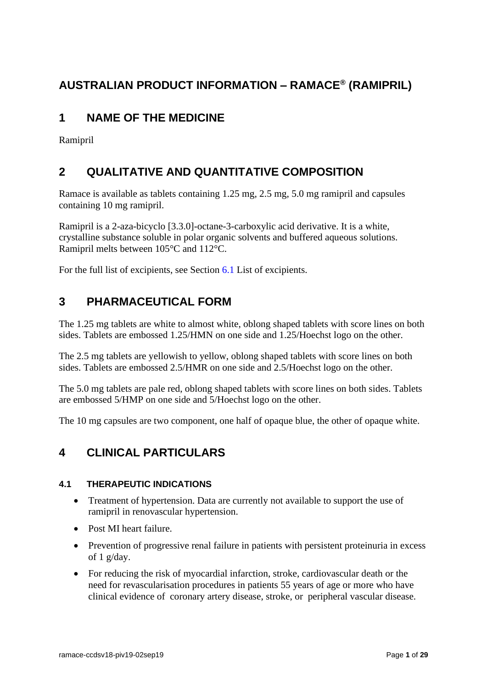# **AUSTRALIAN PRODUCT INFORMATION – RAMACE® (RAMIPRIL)**

# **1 NAME OF THE MEDICINE**

Ramipril

## **2 QUALITATIVE AND QUANTITATIVE COMPOSITION**

Ramace is available as tablets containing 1.25 mg, 2.5 mg, 5.0 mg ramipril and capsules containing 10 mg ramipril.

Ramipril is a 2-aza-bicyclo [3.3.0]-octane-3-carboxylic acid derivative. It is a white, crystalline substance soluble in polar organic solvents and buffered aqueous solutions. Ramipril melts between 105°C and 112°C.

For the full list of excipients, see Section [6.1](#page-26-0) List of excipients.

## **3 PHARMACEUTICAL FORM**

The 1.25 mg tablets are white to almost white, oblong shaped tablets with score lines on both sides. Tablets are embossed 1.25/HMN on one side and 1.25/Hoechst logo on the other.

The 2.5 mg tablets are yellowish to yellow, oblong shaped tablets with score lines on both sides. Tablets are embossed 2.5/HMR on one side and 2.5/Hoechst logo on the other.

The 5.0 mg tablets are pale red, oblong shaped tablets with score lines on both sides. Tablets are embossed 5/HMP on one side and 5/Hoechst logo on the other.

The 10 mg capsules are two component, one half of opaque blue, the other of opaque white.

## **4 CLINICAL PARTICULARS**

## **4.1 THERAPEUTIC INDICATIONS**

- Treatment of hypertension. Data are currently not available to support the use of ramipril in renovascular hypertension.
- Post MI heart failure.
- Prevention of progressive renal failure in patients with persistent proteinuria in excess of 1 g/day.
- For reducing the risk of myocardial infarction, stroke, cardiovascular death or the need for revascularisation procedures in patients 55 years of age or more who have clinical evidence of coronary artery disease, stroke, or peripheral vascular disease.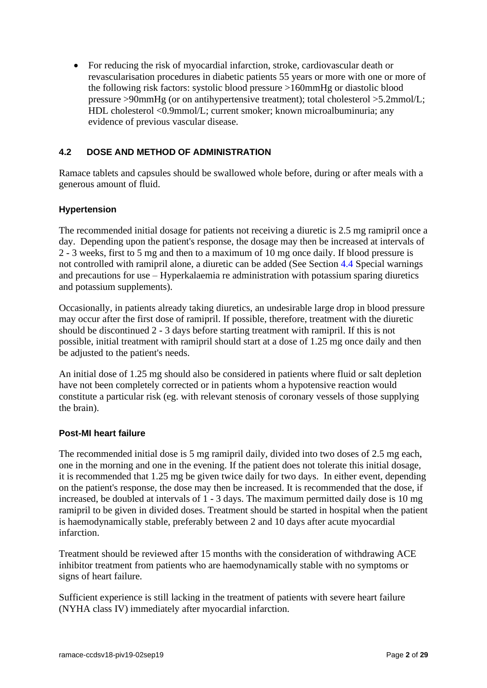• For reducing the risk of myocardial infarction, stroke, cardiovascular death or revascularisation procedures in diabetic patients 55 years or more with one or more of the following risk factors: systolic blood pressure >160mmHg or diastolic blood pressure >90mmHg (or on antihypertensive treatment); total cholesterol >5.2mmol/L; HDL cholesterol <0.9mmol/L; current smoker; known microalbuminuria; any evidence of previous vascular disease.

## <span id="page-1-0"></span>**4.2 DOSE AND METHOD OF ADMINISTRATION**

Ramace tablets and capsules should be swallowed whole before, during or after meals with a generous amount of fluid.

#### **Hypertension**

The recommended initial dosage for patients not receiving a diuretic is 2.5 mg ramipril once a day. Depending upon the patient's response, the dosage may then be increased at intervals of 2 - 3 weeks, first to 5 mg and then to a maximum of 10 mg once daily. If blood pressure is not controlled with ramipril alone, a diuretic can be added (See Section [4.4](#page-3-0) Special warnings and precautions for use – Hyperkalaemia re administration with potassium sparing diuretics and potassium supplements).

Occasionally, in patients already taking diuretics, an undesirable large drop in blood pressure may occur after the first dose of ramipril. If possible, therefore, treatment with the diuretic should be discontinued 2 - 3 days before starting treatment with ramipril. If this is not possible, initial treatment with ramipril should start at a dose of 1.25 mg once daily and then be adjusted to the patient's needs.

An initial dose of 1.25 mg should also be considered in patients where fluid or salt depletion have not been completely corrected or in patients whom a hypotensive reaction would constitute a particular risk (eg. with relevant stenosis of coronary vessels of those supplying the brain).

#### **Post-MI heart failure**

The recommended initial dose is 5 mg ramipril daily, divided into two doses of 2.5 mg each, one in the morning and one in the evening. If the patient does not tolerate this initial dosage, it is recommended that 1.25 mg be given twice daily for two days. In either event, depending on the patient's response, the dose may then be increased. It is recommended that the dose, if increased, be doubled at intervals of 1 - 3 days. The maximum permitted daily dose is 10 mg ramipril to be given in divided doses. Treatment should be started in hospital when the patient is haemodynamically stable, preferably between 2 and 10 days after acute myocardial infarction.

Treatment should be reviewed after 15 months with the consideration of withdrawing ACE inhibitor treatment from patients who are haemodynamically stable with no symptoms or signs of heart failure.

Sufficient experience is still lacking in the treatment of patients with severe heart failure (NYHA class IV) immediately after myocardial infarction.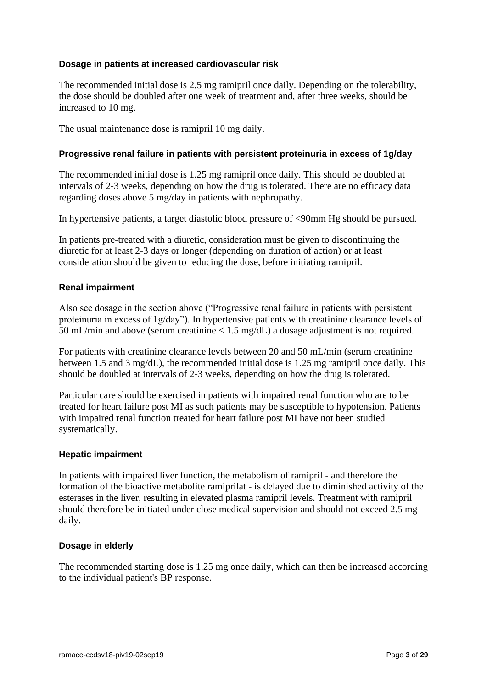#### **Dosage in patients at increased cardiovascular risk**

The recommended initial dose is 2.5 mg ramipril once daily. Depending on the tolerability, the dose should be doubled after one week of treatment and, after three weeks, should be increased to 10 mg.

The usual maintenance dose is ramipril 10 mg daily.

### **Progressive renal failure in patients with persistent proteinuria in excess of 1g/day**

The recommended initial dose is 1.25 mg ramipril once daily. This should be doubled at intervals of 2-3 weeks, depending on how the drug is tolerated. There are no efficacy data regarding doses above 5 mg/day in patients with nephropathy.

In hypertensive patients, a target diastolic blood pressure of <90mm Hg should be pursued.

In patients pre-treated with a diuretic, consideration must be given to discontinuing the diuretic for at least 2-3 days or longer (depending on duration of action) or at least consideration should be given to reducing the dose, before initiating ramipril.

#### **Renal impairment**

Also see dosage in the section above ("Progressive renal failure in patients with persistent proteinuria in excess of 1g/day"). In hypertensive patients with creatinine clearance levels of 50 mL/min and above (serum creatinine < 1.5 mg/dL) a dosage adjustment is not required.

For patients with creatinine clearance levels between 20 and 50 mL/min (serum creatinine between 1.5 and 3 mg/dL), the recommended initial dose is 1.25 mg ramipril once daily. This should be doubled at intervals of 2-3 weeks, depending on how the drug is tolerated.

Particular care should be exercised in patients with impaired renal function who are to be treated for heart failure post MI as such patients may be susceptible to hypotension. Patients with impaired renal function treated for heart failure post MI have not been studied systematically.

#### **Hepatic impairment**

In patients with impaired liver function, the metabolism of ramipril - and therefore the formation of the bioactive metabolite ramiprilat - is delayed due to diminished activity of the esterases in the liver, resulting in elevated plasma ramipril levels. Treatment with ramipril should therefore be initiated under close medical supervision and should not exceed 2.5 mg daily.

#### **Dosage in elderly**

The recommended starting dose is 1.25 mg once daily, which can then be increased according to the individual patient's BP response.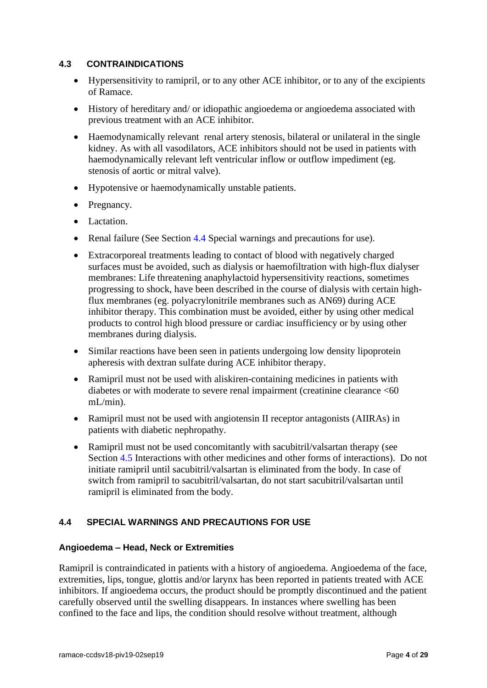### <span id="page-3-1"></span>**4.3 CONTRAINDICATIONS**

- Hypersensitivity to ramipril, or to any other ACE inhibitor, or to any of the excipients of Ramace.
- History of hereditary and/ or idiopathic angioedema or angioedema associated with previous treatment with an ACE inhibitor.
- Haemodynamically relevant renal artery stenosis, bilateral or unilateral in the single kidney. As with all vasodilators, ACE inhibitors should not be used in patients with haemodynamically relevant left ventricular inflow or outflow impediment (eg. stenosis of aortic or mitral valve).
- Hypotensive or haemodynamically unstable patients.
- Pregnancy.
- Lactation.
- Renal failure (See Section [4.4](#page-3-0) Special warnings and precautions for use).
- Extracorporeal treatments leading to contact of blood with negatively charged surfaces must be avoided, such as dialysis or haemofiltration with high-flux dialyser membranes: Life threatening anaphylactoid hypersensitivity reactions, sometimes progressing to shock, have been described in the course of dialysis with certain highflux membranes (eg. polyacrylonitrile membranes such as AN69) during ACE inhibitor therapy. This combination must be avoided, either by using other medical products to control high blood pressure or cardiac insufficiency or by using other membranes during dialysis.
- Similar reactions have been seen in patients undergoing low density lipoprotein apheresis with dextran sulfate during ACE inhibitor therapy.
- Ramipril must not be used with aliskiren-containing medicines in patients with diabetes or with moderate to severe renal impairment (creatinine clearance <60 mL/min).
- Ramipril must not be used with angiotensin II receptor antagonists (AIIRAs) in patients with diabetic nephropathy.
- Ramipril must not be used concomitantly with sacubitril/valsartan therapy (see Section [4.5](#page-10-0) Interactions with other medicines and other forms of interactions). Do not initiate ramipril until sacubitril/valsartan is eliminated from the body. In case of switch from ramipril to sacubitril/valsartan, do not start sacubitril/valsartan until ramipril is eliminated from the body.

## <span id="page-3-0"></span>**4.4 SPECIAL WARNINGS AND PRECAUTIONS FOR USE**

#### **Angioedema – Head, Neck or Extremities**

Ramipril is contraindicated in patients with a history of angioedema. Angioedema of the face, extremities, lips, tongue, glottis and/or larynx has been reported in patients treated with ACE inhibitors. If angioedema occurs, the product should be promptly discontinued and the patient carefully observed until the swelling disappears. In instances where swelling has been confined to the face and lips, the condition should resolve without treatment, although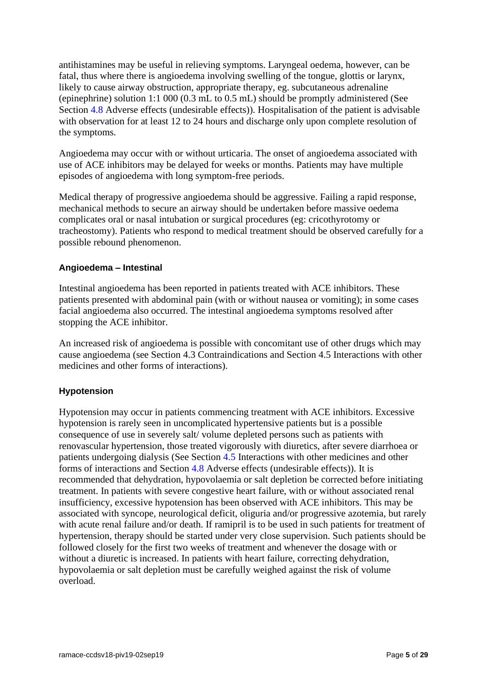antihistamines may be useful in relieving symptoms. Laryngeal oedema, however, can be fatal, thus where there is angioedema involving swelling of the tongue, glottis or larynx, likely to cause airway obstruction, appropriate therapy, eg. subcutaneous adrenaline (epinephrine) solution 1:1 000 (0.3 mL to 0.5 mL) should be promptly administered (See Section [4.8](#page-14-0) Adverse effects (undesirable effects)). Hospitalisation of the patient is advisable with observation for at least 12 to 24 hours and discharge only upon complete resolution of the symptoms.

Angioedema may occur with or without urticaria. The onset of angioedema associated with use of ACE inhibitors may be delayed for weeks or months. Patients may have multiple episodes of angioedema with long symptom-free periods.

Medical therapy of progressive angioedema should be aggressive. Failing a rapid response, mechanical methods to secure an airway should be undertaken before massive oedema complicates oral or nasal intubation or surgical procedures (eg: cricothyrotomy or tracheostomy). Patients who respond to medical treatment should be observed carefully for a possible rebound phenomenon.

## **Angioedema – Intestinal**

Intestinal angioedema has been reported in patients treated with ACE inhibitors. These patients presented with abdominal pain (with or without nausea or vomiting); in some cases facial angioedema also occurred. The intestinal angioedema symptoms resolved after stopping the ACE inhibitor.

An increased risk of angioedema is possible with concomitant use of other drugs which may cause angioedema (see Section [4.3](#page-3-1) Contraindications and Section [4.5](#page-10-0) Interactions with other medicines and other forms of interactions).

## **Hypotension**

Hypotension may occur in patients commencing treatment with ACE inhibitors. Excessive hypotension is rarely seen in uncomplicated hypertensive patients but is a possible consequence of use in severely salt/ volume depleted persons such as patients with renovascular hypertension, those treated vigorously with diuretics, after severe diarrhoea or patients undergoing dialysis (See Section [4.5](#page-10-0) Interactions with other medicines and other forms of interactions and Section [4.8](#page-14-0) Adverse effects (undesirable effects)). It is recommended that dehydration, hypovolaemia or salt depletion be corrected before initiating treatment. In patients with severe congestive heart failure, with or without associated renal insufficiency, excessive hypotension has been observed with ACE inhibitors. This may be associated with syncope, neurological deficit, oliguria and/or progressive azotemia, but rarely with acute renal failure and/or death. If ramipril is to be used in such patients for treatment of hypertension, therapy should be started under very close supervision. Such patients should be followed closely for the first two weeks of treatment and whenever the dosage with or without a diuretic is increased. In patients with heart failure, correcting dehydration, hypovolaemia or salt depletion must be carefully weighed against the risk of volume overload.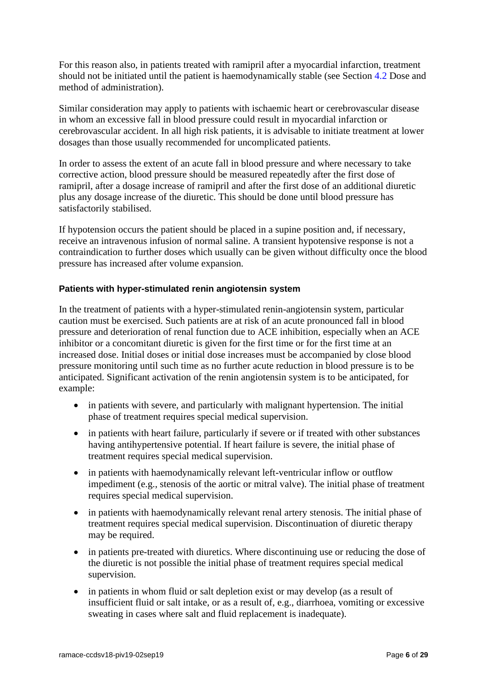For this reason also, in patients treated with ramipril after a myocardial infarction, treatment should not be initiated until the patient is haemodynamically stable (see Section [4.2](#page-1-0) Dose and method of administration).

Similar consideration may apply to patients with ischaemic heart or cerebrovascular disease in whom an excessive fall in blood pressure could result in myocardial infarction or cerebrovascular accident. In all high risk patients, it is advisable to initiate treatment at lower dosages than those usually recommended for uncomplicated patients.

In order to assess the extent of an acute fall in blood pressure and where necessary to take corrective action, blood pressure should be measured repeatedly after the first dose of ramipril, after a dosage increase of ramipril and after the first dose of an additional diuretic plus any dosage increase of the diuretic. This should be done until blood pressure has satisfactorily stabilised.

If hypotension occurs the patient should be placed in a supine position and, if necessary, receive an intravenous infusion of normal saline. A transient hypotensive response is not a contraindication to further doses which usually can be given without difficulty once the blood pressure has increased after volume expansion.

#### **Patients with hyper-stimulated renin angiotensin system**

In the treatment of patients with a hyper-stimulated renin-angiotensin system, particular caution must be exercised. Such patients are at risk of an acute pronounced fall in blood pressure and deterioration of renal function due to ACE inhibition, especially when an ACE inhibitor or a concomitant diuretic is given for the first time or for the first time at an increased dose. Initial doses or initial dose increases must be accompanied by close blood pressure monitoring until such time as no further acute reduction in blood pressure is to be anticipated. Significant activation of the renin angiotensin system is to be anticipated, for example:

- in patients with severe, and particularly with malignant hypertension. The initial phase of treatment requires special medical supervision.
- in patients with heart failure, particularly if severe or if treated with other substances having antihypertensive potential. If heart failure is severe, the initial phase of treatment requires special medical supervision.
- in patients with haemodynamically relevant left-ventricular inflow or outflow impediment (e.g., stenosis of the aortic or mitral valve). The initial phase of treatment requires special medical supervision.
- in patients with haemodynamically relevant renal artery stenosis. The initial phase of treatment requires special medical supervision. Discontinuation of diuretic therapy may be required.
- in patients pre-treated with diuretics. Where discontinuing use or reducing the dose of the diuretic is not possible the initial phase of treatment requires special medical supervision.
- in patients in whom fluid or salt depletion exist or may develop (as a result of insufficient fluid or salt intake, or as a result of, e.g., diarrhoea, vomiting or excessive sweating in cases where salt and fluid replacement is inadequate).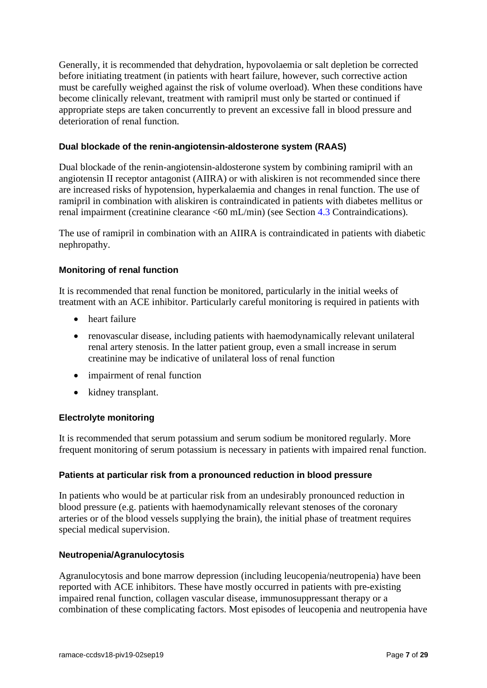Generally, it is recommended that dehydration, hypovolaemia or salt depletion be corrected before initiating treatment (in patients with heart failure, however, such corrective action must be carefully weighed against the risk of volume overload). When these conditions have become clinically relevant, treatment with ramipril must only be started or continued if appropriate steps are taken concurrently to prevent an excessive fall in blood pressure and deterioration of renal function.

## **Dual blockade of the renin-angiotensin-aldosterone system (RAAS)**

Dual blockade of the renin-angiotensin-aldosterone system by combining ramipril with an angiotensin II receptor antagonist (AIIRA) or with aliskiren is not recommended since there are increased risks of hypotension, hyperkalaemia and changes in renal function. The use of ramipril in combination with aliskiren is contraindicated in patients with diabetes mellitus or renal impairment (creatinine clearance <60 mL/min) (see Section [4.3](#page-3-1) Contraindications).

The use of ramipril in combination with an AIIRA is contraindicated in patients with diabetic nephropathy.

## **Monitoring of renal function**

It is recommended that renal function be monitored, particularly in the initial weeks of treatment with an ACE inhibitor. Particularly careful monitoring is required in patients with

- heart failure
- renovascular disease, including patients with haemodynamically relevant unilateral renal artery stenosis. In the latter patient group, even a small increase in serum creatinine may be indicative of unilateral loss of renal function
- impairment of renal function
- kidney transplant.

#### **Electrolyte monitoring**

It is recommended that serum potassium and serum sodium be monitored regularly. More frequent monitoring of serum potassium is necessary in patients with impaired renal function.

#### **Patients at particular risk from a pronounced reduction in blood pressure**

In patients who would be at particular risk from an undesirably pronounced reduction in blood pressure (e.g. patients with haemodynamically relevant stenoses of the coronary arteries or of the blood vessels supplying the brain), the initial phase of treatment requires special medical supervision.

#### **Neutropenia/Agranulocytosis**

Agranulocytosis and bone marrow depression (including leucopenia/neutropenia) have been reported with ACE inhibitors. These have mostly occurred in patients with pre-existing impaired renal function, collagen vascular disease, immunosuppressant therapy or a combination of these complicating factors. Most episodes of leucopenia and neutropenia have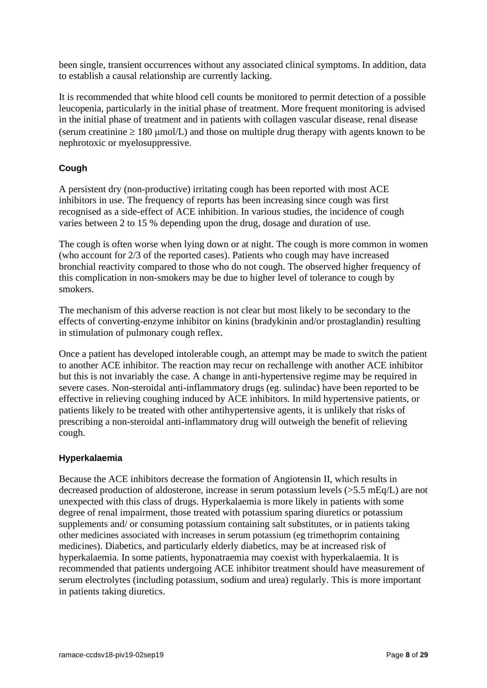been single, transient occurrences without any associated clinical symptoms. In addition, data to establish a causal relationship are currently lacking.

It is recommended that white blood cell counts be monitored to permit detection of a possible leucopenia, particularly in the initial phase of treatment. More frequent monitoring is advised in the initial phase of treatment and in patients with collagen vascular disease, renal disease (serum creatinine  $\geq 180$  µmol/L) and those on multiple drug therapy with agents known to be nephrotoxic or myelosuppressive.

## **Cough**

A persistent dry (non-productive) irritating cough has been reported with most ACE inhibitors in use. The frequency of reports has been increasing since cough was first recognised as a side-effect of ACE inhibition. In various studies, the incidence of cough varies between 2 to 15 % depending upon the drug, dosage and duration of use.

The cough is often worse when lying down or at night. The cough is more common in women (who account for 2/3 of the reported cases). Patients who cough may have increased bronchial reactivity compared to those who do not cough. The observed higher frequency of this complication in non-smokers may be due to higher level of tolerance to cough by smokers.

The mechanism of this adverse reaction is not clear but most likely to be secondary to the effects of converting-enzyme inhibitor on kinins (bradykinin and/or prostaglandin) resulting in stimulation of pulmonary cough reflex.

Once a patient has developed intolerable cough, an attempt may be made to switch the patient to another ACE inhibitor. The reaction may recur on rechallenge with another ACE inhibitor but this is not invariably the case. A change in anti-hypertensive regime may be required in severe cases. Non-steroidal anti-inflammatory drugs (eg. sulindac) have been reported to be effective in relieving coughing induced by ACE inhibitors. In mild hypertensive patients, or patients likely to be treated with other antihypertensive agents, it is unlikely that risks of prescribing a non-steroidal anti-inflammatory drug will outweigh the benefit of relieving cough.

## **Hyperkalaemia**

Because the ACE inhibitors decrease the formation of Angiotensin II, which results in decreased production of aldosterone, increase in serum potassium levels (>5.5 mEq/L) are not unexpected with this class of drugs. Hyperkalaemia is more likely in patients with some degree of renal impairment, those treated with potassium sparing diuretics or potassium supplements and/ or consuming potassium containing salt substitutes, or in patients taking other medicines associated with increases in serum potassium (eg trimethoprim containing medicines). Diabetics, and particularly elderly diabetics, may be at increased risk of hyperkalaemia. In some patients, hyponatraemia may coexist with hyperkalaemia. It is recommended that patients undergoing ACE inhibitor treatment should have measurement of serum electrolytes (including potassium, sodium and urea) regularly. This is more important in patients taking diuretics.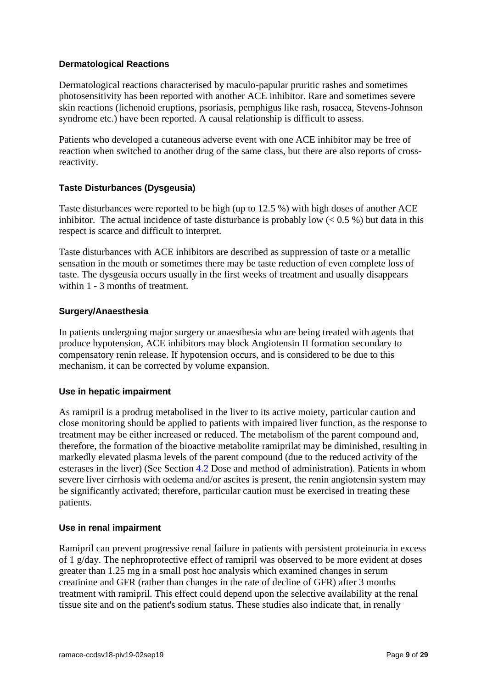#### **Dermatological Reactions**

Dermatological reactions characterised by maculo-papular pruritic rashes and sometimes photosensitivity has been reported with another ACE inhibitor. Rare and sometimes severe skin reactions (lichenoid eruptions, psoriasis, pemphigus like rash, rosacea, Stevens-Johnson syndrome etc.) have been reported. A causal relationship is difficult to assess.

Patients who developed a cutaneous adverse event with one ACE inhibitor may be free of reaction when switched to another drug of the same class, but there are also reports of crossreactivity.

#### **Taste Disturbances (Dysgeusia)**

Taste disturbances were reported to be high (up to 12.5 %) with high doses of another ACE inhibitor. The actual incidence of taste disturbance is probably low  $(< 0.5\%$ ) but data in this respect is scarce and difficult to interpret.

Taste disturbances with ACE inhibitors are described as suppression of taste or a metallic sensation in the mouth or sometimes there may be taste reduction of even complete loss of taste. The dysgeusia occurs usually in the first weeks of treatment and usually disappears within 1 - 3 months of treatment.

#### **Surgery/Anaesthesia**

In patients undergoing major surgery or anaesthesia who are being treated with agents that produce hypotension, ACE inhibitors may block Angiotensin II formation secondary to compensatory renin release. If hypotension occurs, and is considered to be due to this mechanism, it can be corrected by volume expansion.

#### **Use in hepatic impairment**

As ramipril is a prodrug metabolised in the liver to its active moiety, particular caution and close monitoring should be applied to patients with impaired liver function, as the response to treatment may be either increased or reduced. The metabolism of the parent compound and, therefore, the formation of the bioactive metabolite ramiprilat may be diminished, resulting in markedly elevated plasma levels of the parent compound (due to the reduced activity of the esterases in the liver) (See Section [4.2](#page-1-0) Dose and method of administration). Patients in whom severe liver cirrhosis with oedema and/or ascites is present, the renin angiotensin system may be significantly activated; therefore, particular caution must be exercised in treating these patients.

#### **Use in renal impairment**

Ramipril can prevent progressive renal failure in patients with persistent proteinuria in excess of 1 g/day. The nephroprotective effect of ramipril was observed to be more evident at doses greater than 1.25 mg in a small post hoc analysis which examined changes in serum creatinine and GFR (rather than changes in the rate of decline of GFR) after 3 months treatment with ramipril. This effect could depend upon the selective availability at the renal tissue site and on the patient's sodium status. These studies also indicate that, in renally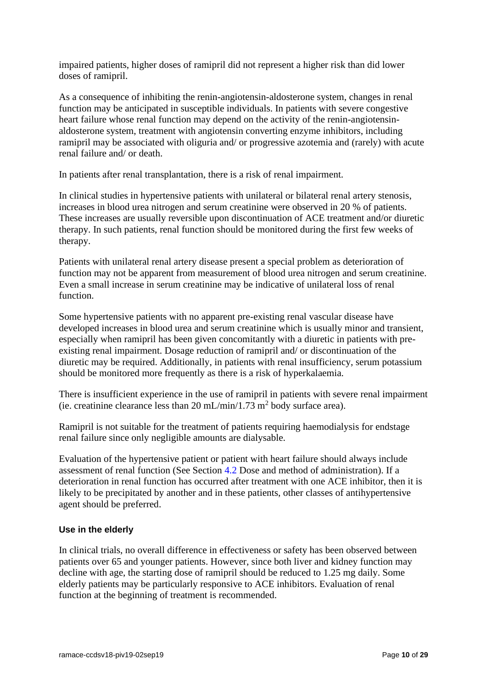impaired patients, higher doses of ramipril did not represent a higher risk than did lower doses of ramipril.

As a consequence of inhibiting the renin-angiotensin-aldosterone system, changes in renal function may be anticipated in susceptible individuals. In patients with severe congestive heart failure whose renal function may depend on the activity of the renin-angiotensinaldosterone system, treatment with angiotensin converting enzyme inhibitors, including ramipril may be associated with oliguria and/ or progressive azotemia and (rarely) with acute renal failure and/ or death.

In patients after renal transplantation, there is a risk of renal impairment.

In clinical studies in hypertensive patients with unilateral or bilateral renal artery stenosis, increases in blood urea nitrogen and serum creatinine were observed in 20 % of patients. These increases are usually reversible upon discontinuation of ACE treatment and/or diuretic therapy. In such patients, renal function should be monitored during the first few weeks of therapy.

Patients with unilateral renal artery disease present a special problem as deterioration of function may not be apparent from measurement of blood urea nitrogen and serum creatinine. Even a small increase in serum creatinine may be indicative of unilateral loss of renal function.

Some hypertensive patients with no apparent pre-existing renal vascular disease have developed increases in blood urea and serum creatinine which is usually minor and transient, especially when ramipril has been given concomitantly with a diuretic in patients with preexisting renal impairment. Dosage reduction of ramipril and/ or discontinuation of the diuretic may be required. Additionally, in patients with renal insufficiency, serum potassium should be monitored more frequently as there is a risk of hyperkalaemia.

There is insufficient experience in the use of ramipril in patients with severe renal impairment (ie. creatinine clearance less than 20 mL/min/1.73 m<sup>2</sup> body surface area).

Ramipril is not suitable for the treatment of patients requiring haemodialysis for endstage renal failure since only negligible amounts are dialysable.

Evaluation of the hypertensive patient or patient with heart failure should always include assessment of renal function (See Section [4.2](#page-1-0) Dose and method of administration). If a deterioration in renal function has occurred after treatment with one ACE inhibitor, then it is likely to be precipitated by another and in these patients, other classes of antihypertensive agent should be preferred.

#### **Use in the elderly**

In clinical trials, no overall difference in effectiveness or safety has been observed between patients over 65 and younger patients. However, since both liver and kidney function may decline with age, the starting dose of ramipril should be reduced to 1.25 mg daily. Some elderly patients may be particularly responsive to ACE inhibitors. Evaluation of renal function at the beginning of treatment is recommended.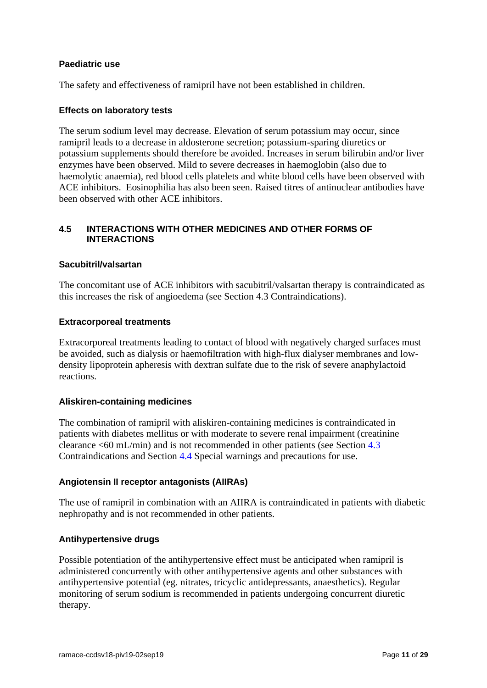#### **Paediatric use**

The safety and effectiveness of ramipril have not been established in children.

#### **Effects on laboratory tests**

The serum sodium level may decrease. Elevation of serum potassium may occur, since ramipril leads to a decrease in aldosterone secretion; potassium-sparing diuretics or potassium supplements should therefore be avoided. Increases in serum bilirubin and/or liver enzymes have been observed. Mild to severe decreases in haemoglobin (also due to haemolytic anaemia), red blood cells platelets and white blood cells have been observed with ACE inhibitors. Eosinophilia has also been seen. Raised titres of antinuclear antibodies have been observed with other ACE inhibitors.

#### <span id="page-10-0"></span>**4.5 INTERACTIONS WITH OTHER MEDICINES AND OTHER FORMS OF INTERACTIONS**

#### **Sacubitril/valsartan**

The concomitant use of ACE inhibitors with sacubitril/valsartan therapy is contraindicated as this increases the risk of angioedema (see Section [4.3](#page-3-1) Contraindications).

#### **Extracorporeal treatments**

Extracorporeal treatments leading to contact of blood with negatively charged surfaces must be avoided, such as dialysis or haemofiltration with high-flux dialyser membranes and lowdensity lipoprotein apheresis with dextran sulfate due to the risk of severe anaphylactoid reactions.

#### **Aliskiren-containing medicines**

The combination of ramipril with aliskiren-containing medicines is contraindicated in patients with diabetes mellitus or with moderate to severe renal impairment (creatinine clearance <60 mL/min) and is not recommended in other patients (see Section [4.3](#page-3-1) Contraindications and Section [4.4](#page-3-0) Special warnings and precautions for use.

#### **Angiotensin II receptor antagonists (AIIRAs)**

The use of ramipril in combination with an AIIRA is contraindicated in patients with diabetic nephropathy and is not recommended in other patients.

#### **Antihypertensive drugs**

Possible potentiation of the antihypertensive effect must be anticipated when ramipril is administered concurrently with other antihypertensive agents and other substances with antihypertensive potential (eg. nitrates, tricyclic antidepressants, anaesthetics). Regular monitoring of serum sodium is recommended in patients undergoing concurrent diuretic therapy.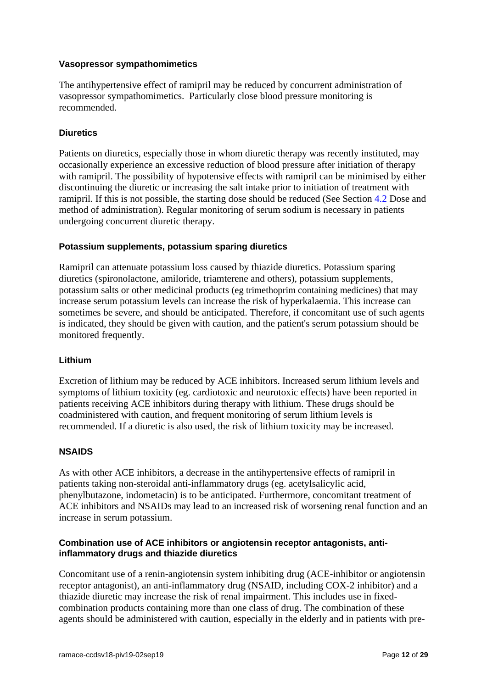#### **Vasopressor sympathomimetics**

The antihypertensive effect of ramipril may be reduced by concurrent administration of vasopressor sympathomimetics. Particularly close blood pressure monitoring is recommended.

#### **Diuretics**

Patients on diuretics, especially those in whom diuretic therapy was recently instituted, may occasionally experience an excessive reduction of blood pressure after initiation of therapy with ramipril. The possibility of hypotensive effects with ramipril can be minimised by either discontinuing the diuretic or increasing the salt intake prior to initiation of treatment with ramipril. If this is not possible, the starting dose should be reduced (See Section [4.2](#page-1-0) Dose and method of administration). Regular monitoring of serum sodium is necessary in patients undergoing concurrent diuretic therapy.

#### **Potassium supplements, potassium sparing diuretics**

Ramipril can attenuate potassium loss caused by thiazide diuretics. Potassium sparing diuretics (spironolactone, amiloride, triamterene and others), potassium supplements, potassium salts or other medicinal products (eg trimethoprim containing medicines) that may increase serum potassium levels can increase the risk of hyperkalaemia. This increase can sometimes be severe, and should be anticipated. Therefore, if concomitant use of such agents is indicated, they should be given with caution, and the patient's serum potassium should be monitored frequently.

#### **Lithium**

Excretion of lithium may be reduced by ACE inhibitors. Increased serum lithium levels and symptoms of lithium toxicity (eg. cardiotoxic and neurotoxic effects) have been reported in patients receiving ACE inhibitors during therapy with lithium. These drugs should be coadministered with caution, and frequent monitoring of serum lithium levels is recommended. If a diuretic is also used, the risk of lithium toxicity may be increased.

#### **NSAIDS**

As with other ACE inhibitors, a decrease in the antihypertensive effects of ramipril in patients taking non-steroidal anti-inflammatory drugs (eg. acetylsalicylic acid, phenylbutazone, indometacin) is to be anticipated. Furthermore, concomitant treatment of ACE inhibitors and NSAIDs may lead to an increased risk of worsening renal function and an increase in serum potassium.

#### **Combination use of ACE inhibitors or angiotensin receptor antagonists, antiinflammatory drugs and thiazide diuretics**

Concomitant use of a renin-angiotensin system inhibiting drug (ACE-inhibitor or angiotensin receptor antagonist), an anti-inflammatory drug (NSAID, including COX-2 inhibitor) and a thiazide diuretic may increase the risk of renal impairment. This includes use in fixedcombination products containing more than one class of drug. The combination of these agents should be administered with caution, especially in the elderly and in patients with pre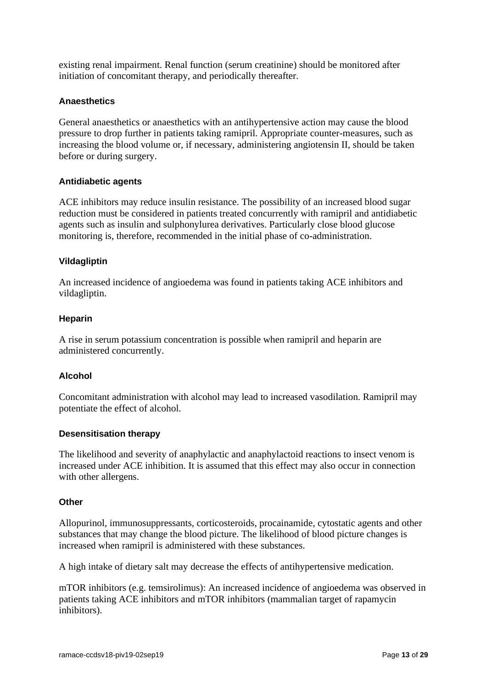existing renal impairment. Renal function (serum creatinine) should be monitored after initiation of concomitant therapy, and periodically thereafter.

#### **Anaesthetics**

General anaesthetics or anaesthetics with an antihypertensive action may cause the blood pressure to drop further in patients taking ramipril. Appropriate counter-measures, such as increasing the blood volume or, if necessary, administering angiotensin II, should be taken before or during surgery.

#### **Antidiabetic agents**

ACE inhibitors may reduce insulin resistance. The possibility of an increased blood sugar reduction must be considered in patients treated concurrently with ramipril and antidiabetic agents such as insulin and sulphonylurea derivatives. Particularly close blood glucose monitoring is, therefore, recommended in the initial phase of co-administration.

#### **Vildagliptin**

An increased incidence of angioedema was found in patients taking ACE inhibitors and vildagliptin.

#### **Heparin**

A rise in serum potassium concentration is possible when ramipril and heparin are administered concurrently.

#### **Alcohol**

Concomitant administration with alcohol may lead to increased vasodilation. Ramipril may potentiate the effect of alcohol.

#### **Desensitisation therapy**

The likelihood and severity of anaphylactic and anaphylactoid reactions to insect venom is increased under ACE inhibition. It is assumed that this effect may also occur in connection with other allergens.

#### **Other**

Allopurinol, immunosuppressants, corticosteroids, procainamide, cytostatic agents and other substances that may change the blood picture. The likelihood of blood picture changes is increased when ramipril is administered with these substances.

A high intake of dietary salt may decrease the effects of antihypertensive medication.

mTOR inhibitors (e.g. temsirolimus): An increased incidence of angioedema was observed in patients taking ACE inhibitors and mTOR inhibitors (mammalian target of rapamycin inhibitors).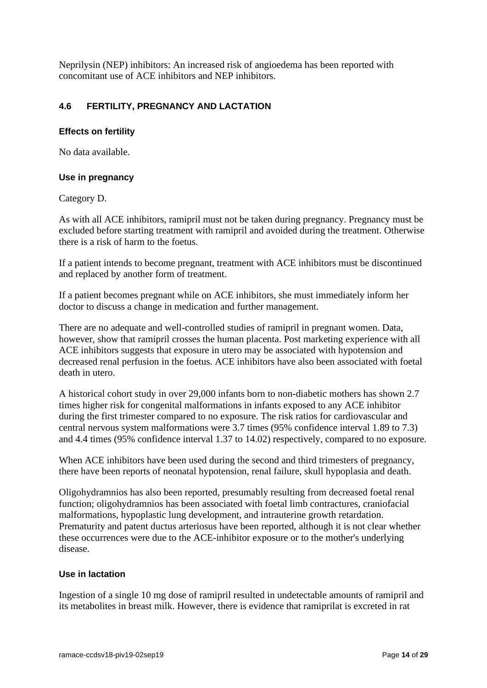Neprilysin (NEP) inhibitors: An increased risk of angioedema has been reported with concomitant use of ACE inhibitors and NEP inhibitors.

## **4.6 FERTILITY, PREGNANCY AND LACTATION**

#### **Effects on fertility**

No data available.

#### **Use in pregnancy**

Category D.

As with all ACE inhibitors, ramipril must not be taken during pregnancy. Pregnancy must be excluded before starting treatment with ramipril and avoided during the treatment. Otherwise there is a risk of harm to the foetus.

If a patient intends to become pregnant, treatment with ACE inhibitors must be discontinued and replaced by another form of treatment.

If a patient becomes pregnant while on ACE inhibitors, she must immediately inform her doctor to discuss a change in medication and further management.

There are no adequate and well-controlled studies of ramipril in pregnant women. Data, however, show that ramipril crosses the human placenta. Post marketing experience with all ACE inhibitors suggests that exposure in utero may be associated with hypotension and decreased renal perfusion in the foetus. ACE inhibitors have also been associated with foetal death in utero.

A historical cohort study in over 29,000 infants born to non-diabetic mothers has shown 2.7 times higher risk for congenital malformations in infants exposed to any ACE inhibitor during the first trimester compared to no exposure. The risk ratios for cardiovascular and central nervous system malformations were 3.7 times (95% confidence interval 1.89 to 7.3) and 4.4 times (95% confidence interval 1.37 to 14.02) respectively, compared to no exposure.

When ACE inhibitors have been used during the second and third trimesters of pregnancy, there have been reports of neonatal hypotension, renal failure, skull hypoplasia and death.

Oligohydramnios has also been reported, presumably resulting from decreased foetal renal function; oligohydramnios has been associated with foetal limb contractures, craniofacial malformations, hypoplastic lung development, and intrauterine growth retardation. Prematurity and patent ductus arteriosus have been reported, although it is not clear whether these occurrences were due to the ACE-inhibitor exposure or to the mother's underlying disease.

#### **Use in lactation**

Ingestion of a single 10 mg dose of ramipril resulted in undetectable amounts of ramipril and its metabolites in breast milk. However, there is evidence that ramiprilat is excreted in rat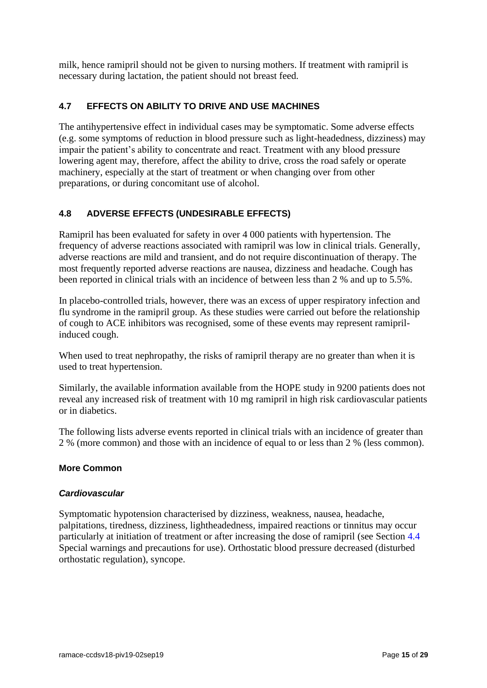milk, hence ramipril should not be given to nursing mothers. If treatment with ramipril is necessary during lactation, the patient should not breast feed.

## **4.7 EFFECTS ON ABILITY TO DRIVE AND USE MACHINES**

The antihypertensive effect in individual cases may be symptomatic. Some adverse effects (e.g. some symptoms of reduction in blood pressure such as light-headedness, dizziness) may impair the patient's ability to concentrate and react. Treatment with any blood pressure lowering agent may, therefore, affect the ability to drive, cross the road safely or operate machinery, especially at the start of treatment or when changing over from other preparations, or during concomitant use of alcohol.

## <span id="page-14-0"></span>**4.8 ADVERSE EFFECTS (UNDESIRABLE EFFECTS)**

Ramipril has been evaluated for safety in over 4 000 patients with hypertension. The frequency of adverse reactions associated with ramipril was low in clinical trials. Generally, adverse reactions are mild and transient, and do not require discontinuation of therapy. The most frequently reported adverse reactions are nausea, dizziness and headache. Cough has been reported in clinical trials with an incidence of between less than 2 % and up to 5.5%.

In placebo-controlled trials, however, there was an excess of upper respiratory infection and flu syndrome in the ramipril group. As these studies were carried out before the relationship of cough to ACE inhibitors was recognised, some of these events may represent ramiprilinduced cough.

When used to treat nephropathy, the risks of ramipril therapy are no greater than when it is used to treat hypertension.

Similarly, the available information available from the HOPE study in 9200 patients does not reveal any increased risk of treatment with 10 mg ramipril in high risk cardiovascular patients or in diabetics.

The following lists adverse events reported in clinical trials with an incidence of greater than 2 % (more common) and those with an incidence of equal to or less than 2 % (less common).

## **More Common**

#### *Cardiovascular*

Symptomatic hypotension characterised by dizziness, weakness, nausea, headache, palpitations, tiredness, dizziness, lightheadedness, impaired reactions or tinnitus may occur particularly at initiation of treatment or after increasing the dose of ramipril (see Section [4.4](#page-3-0) Special warnings and precautions for use). Orthostatic blood pressure decreased (disturbed orthostatic regulation), syncope.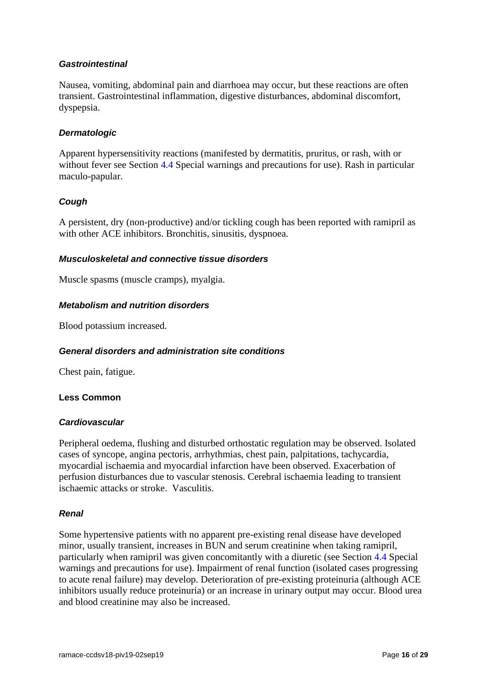#### *Gastrointestinal*

Nausea, vomiting, abdominal pain and diarrhoea may occur, but these reactions are often transient. Gastrointestinal inflammation, digestive disturbances, abdominal discomfort, dyspepsia.

#### *Dermatologic*

Apparent hypersensitivity reactions (manifested by dermatitis, pruritus, or rash, with or without fever see Section [4.4](#page-3-0) Special warnings and precautions for use). Rash in particular maculo-papular.

#### *Cough*

A persistent, dry (non-productive) and/or tickling cough has been reported with ramipril as with other ACE inhibitors. Bronchitis, sinusitis, dyspnoea.

#### *Musculoskeletal and connective tissue disorders*

Muscle spasms (muscle cramps), myalgia.

#### *Metabolism and nutrition disorders*

Blood potassium increased.

#### *General disorders and administration site conditions*

Chest pain, fatigue.

#### **Less Common**

#### *Cardiovascular*

Peripheral oedema, flushing and disturbed orthostatic regulation may be observed. Isolated cases of syncope, angina pectoris, arrhythmias, chest pain, palpitations, tachycardia, myocardial ischaemia and myocardial infarction have been observed. Exacerbation of perfusion disturbances due to vascular stenosis. Cerebral ischaemia leading to transient ischaemic attacks or stroke. Vasculitis.

#### *Renal*

Some hypertensive patients with no apparent pre-existing renal disease have developed minor, usually transient, increases in BUN and serum creatinine when taking ramipril, particularly when ramipril was given concomitantly with a diuretic (see Section [4.4](#page-3-0) Special warnings and precautions for use). Impairment of renal function (isolated cases progressing to acute renal failure) may develop. Deterioration of pre-existing proteinuria (although ACE inhibitors usually reduce proteinuria) or an increase in urinary output may occur. Blood urea and blood creatinine may also be increased.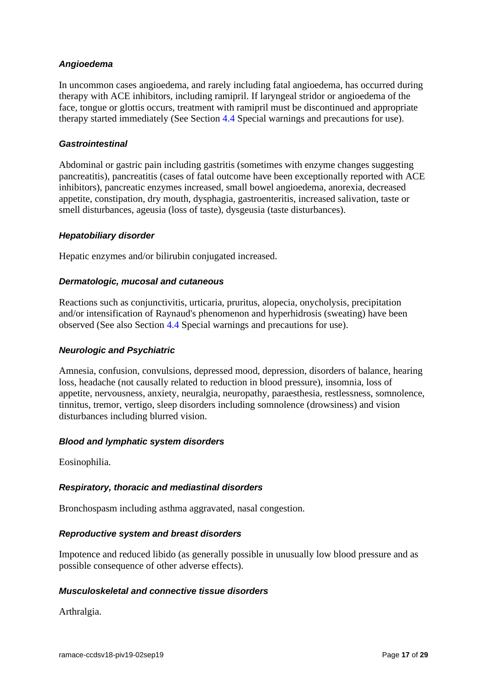### *Angioedema*

In uncommon cases angioedema, and rarely including fatal angioedema, has occurred during therapy with ACE inhibitors, including ramipril. If laryngeal stridor or angioedema of the face, tongue or glottis occurs, treatment with ramipril must be discontinued and appropriate therapy started immediately (See Section [4.4](#page-3-0) Special warnings and precautions for use).

#### *Gastrointestinal*

Abdominal or gastric pain including gastritis (sometimes with enzyme changes suggesting pancreatitis), pancreatitis (cases of fatal outcome have been exceptionally reported with ACE inhibitors), pancreatic enzymes increased, small bowel angioedema, anorexia, decreased appetite, constipation, dry mouth, dysphagia, gastroenteritis, increased salivation, taste or smell disturbances, ageusia (loss of taste), dysgeusia (taste disturbances).

#### *Hepatobiliary disorder*

Hepatic enzymes and/or bilirubin conjugated increased.

#### *Dermatologic, mucosal and cutaneous*

Reactions such as conjunctivitis, urticaria, pruritus, alopecia, onycholysis, precipitation and/or intensification of Raynaud's phenomenon and hyperhidrosis (sweating) have been observed (See also Section [4.4](#page-3-0) Special warnings and precautions for use).

#### *Neurologic and Psychiatric*

Amnesia, confusion, convulsions, depressed mood, depression, disorders of balance, hearing loss, headache (not causally related to reduction in blood pressure), insomnia, loss of appetite, nervousness, anxiety, neuralgia, neuropathy, paraesthesia, restlessness, somnolence, tinnitus, tremor, vertigo, sleep disorders including somnolence (drowsiness) and vision disturbances including blurred vision.

#### *Blood and lymphatic system disorders*

Eosinophilia.

#### *Respiratory, thoracic and mediastinal disorders*

Bronchospasm including asthma aggravated, nasal congestion.

#### *Reproductive system and breast disorders*

Impotence and reduced libido (as generally possible in unusually low blood pressure and as possible consequence of other adverse effects).

#### *Musculoskeletal and connective tissue disorders*

Arthralgia.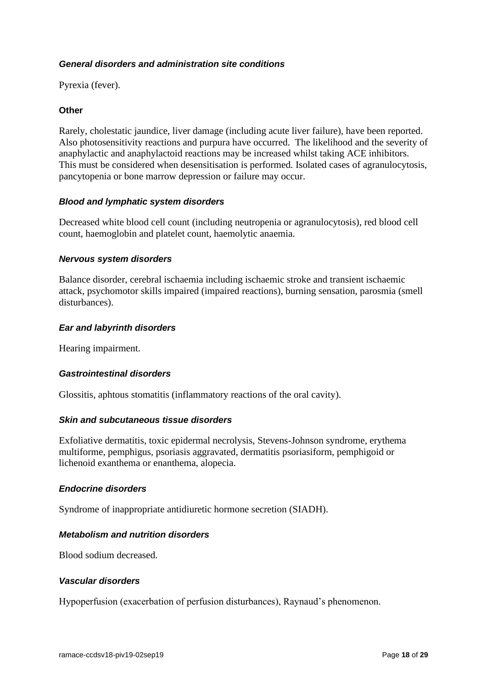#### *General disorders and administration site conditions*

Pyrexia (fever).

#### **Other**

Rarely, cholestatic jaundice, liver damage (including acute liver failure), have been reported. Also photosensitivity reactions and purpura have occurred. The likelihood and the severity of anaphylactic and anaphylactoid reactions may be increased whilst taking ACE inhibitors. This must be considered when desensitisation is performed. Isolated cases of agranulocytosis, pancytopenia or bone marrow depression or failure may occur.

#### *Blood and lymphatic system disorders*

Decreased white blood cell count (including neutropenia or agranulocytosis), red blood cell count, haemoglobin and platelet count, haemolytic anaemia.

#### *Nervous system disorders*

Balance disorder, cerebral ischaemia including ischaemic stroke and transient ischaemic attack, psychomotor skills impaired (impaired reactions), burning sensation, parosmia (smell disturbances).

#### *Ear and labyrinth disorders*

Hearing impairment.

#### *Gastrointestinal disorders*

Glossitis, aphtous stomatitis (inflammatory reactions of the oral cavity).

#### *Skin and subcutaneous tissue disorders*

Exfoliative dermatitis, toxic epidermal necrolysis, Stevens-Johnson syndrome, erythema multiforme, pemphigus, psoriasis aggravated, dermatitis psoriasiform, pemphigoid or lichenoid exanthema or enanthema, alopecia.

#### *Endocrine disorders*

Syndrome of inappropriate antidiuretic hormone secretion (SIADH).

#### *Metabolism and nutrition disorders*

Blood sodium decreased.

#### *Vascular disorders*

Hypoperfusion (exacerbation of perfusion disturbances), Raynaud's phenomenon.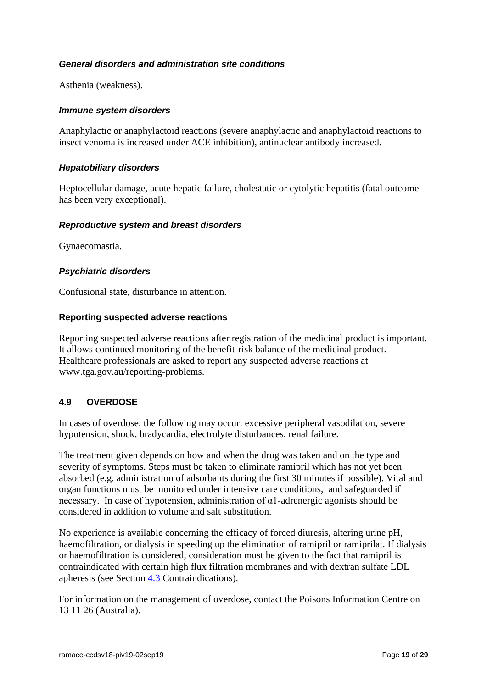#### *General disorders and administration site conditions*

Asthenia (weakness).

#### *Immune system disorders*

Anaphylactic or anaphylactoid reactions (severe anaphylactic and anaphylactoid reactions to insect venoma is increased under ACE inhibition), antinuclear antibody increased.

#### *Hepatobiliary disorders*

Heptocellular damage, acute hepatic failure, cholestatic or cytolytic hepatitis (fatal outcome has been very exceptional).

#### *Reproductive system and breast disorders*

Gynaecomastia.

#### *Psychiatric disorders*

Confusional state, disturbance in attention.

#### **Reporting suspected adverse reactions**

Reporting suspected adverse reactions after registration of the medicinal product is important. It allows continued monitoring of the benefit-risk balance of the medicinal product. Healthcare professionals are asked to report any suspected adverse reactions at [www.tga.gov.au/reporting-problems.](http://www.tga.gov.au/reporting-problems)

### **4.9 OVERDOSE**

In cases of overdose, the following may occur: excessive peripheral vasodilation, severe hypotension, shock, bradycardia, electrolyte disturbances, renal failure.

The treatment given depends on how and when the drug was taken and on the type and severity of symptoms. Steps must be taken to eliminate ramipril which has not yet been absorbed (e.g. administration of adsorbants during the first 30 minutes if possible). Vital and organ functions must be monitored under intensive care conditions, and safeguarded if necessary. In case of hypotension, administration of  $\alpha$ 1-adrenergic agonists should be considered in addition to volume and salt substitution.

No experience is available concerning the efficacy of forced diuresis, altering urine pH, haemofiltration, or dialysis in speeding up the elimination of ramipril or ramiprilat. If dialysis or haemofiltration is considered, consideration must be given to the fact that ramipril is contraindicated with certain high flux filtration membranes and with dextran sulfate LDL apheresis (see Section [4.3](#page-3-1) Contraindications).

For information on the management of overdose, contact the Poisons Information Centre on 13 11 26 (Australia).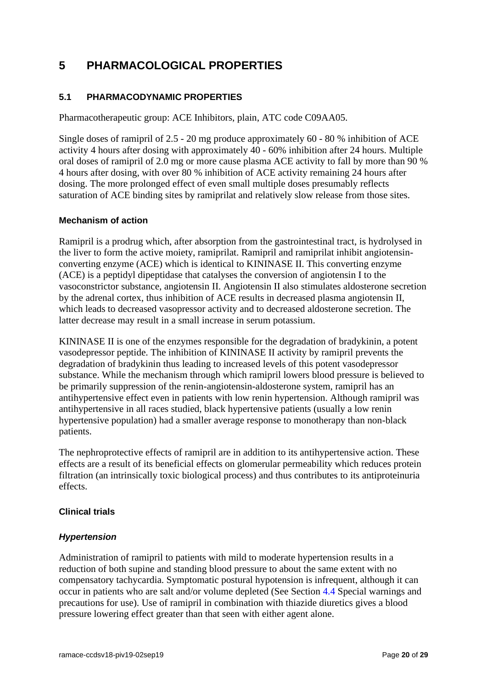## **5 PHARMACOLOGICAL PROPERTIES**

## **5.1 PHARMACODYNAMIC PROPERTIES**

Pharmacotherapeutic group: ACE Inhibitors, plain, ATC code C09AA05.

Single doses of ramipril of 2.5 - 20 mg produce approximately 60 - 80 % inhibition of ACE activity 4 hours after dosing with approximately 40 - 60% inhibition after 24 hours. Multiple oral doses of ramipril of 2.0 mg or more cause plasma ACE activity to fall by more than 90 % 4 hours after dosing, with over 80 % inhibition of ACE activity remaining 24 hours after dosing. The more prolonged effect of even small multiple doses presumably reflects saturation of ACE binding sites by ramiprilat and relatively slow release from those sites.

#### **Mechanism of action**

Ramipril is a prodrug which, after absorption from the gastrointestinal tract, is hydrolysed in the liver to form the active moiety, ramiprilat. Ramipril and ramiprilat inhibit angiotensinconverting enzyme (ACE) which is identical to KININASE II. This converting enzyme (ACE) is a peptidyl dipeptidase that catalyses the conversion of angiotensin I to the vasoconstrictor substance, angiotensin II. Angiotensin II also stimulates aldosterone secretion by the adrenal cortex, thus inhibition of ACE results in decreased plasma angiotensin II, which leads to decreased vasopressor activity and to decreased aldosterone secretion. The latter decrease may result in a small increase in serum potassium.

KININASE II is one of the enzymes responsible for the degradation of bradykinin, a potent vasodepressor peptide. The inhibition of KININASE II activity by ramipril prevents the degradation of bradykinin thus leading to increased levels of this potent vasodepressor substance. While the mechanism through which ramipril lowers blood pressure is believed to be primarily suppression of the renin-angiotensin-aldosterone system, ramipril has an antihypertensive effect even in patients with low renin hypertension. Although ramipril was antihypertensive in all races studied, black hypertensive patients (usually a low renin hypertensive population) had a smaller average response to monotherapy than non-black patients.

The nephroprotective effects of ramipril are in addition to its antihypertensive action. These effects are a result of its beneficial effects on glomerular permeability which reduces protein filtration (an intrinsically toxic biological process) and thus contributes to its antiproteinuria effects.

#### **Clinical trials**

#### *Hypertension*

Administration of ramipril to patients with mild to moderate hypertension results in a reduction of both supine and standing blood pressure to about the same extent with no compensatory tachycardia. Symptomatic postural hypotension is infrequent, although it can occur in patients who are salt and/or volume depleted (See Section [4.4](#page-3-0) Special warnings and precautions for use). Use of ramipril in combination with thiazide diuretics gives a blood pressure lowering effect greater than that seen with either agent alone.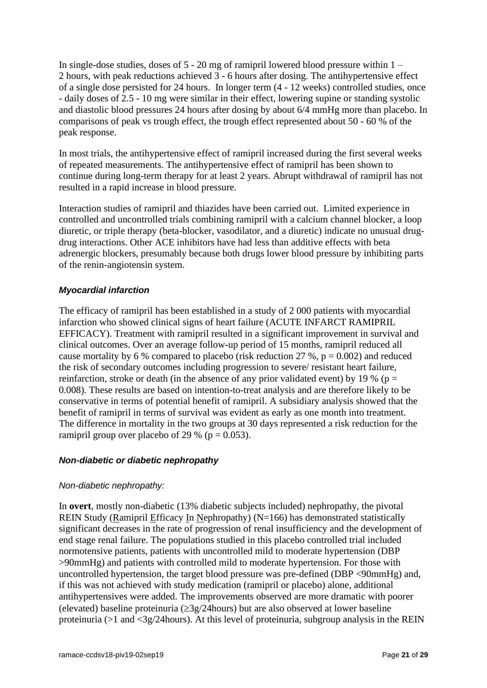In single-dose studies, doses of 5 - 20 mg of ramipril lowered blood pressure within 1 – 2 hours, with peak reductions achieved 3 - 6 hours after dosing. The antihypertensive effect of a single dose persisted for 24 hours. In longer term (4 - 12 weeks) controlled studies, once - daily doses of 2.5 - 10 mg were similar in their effect, lowering supine or standing systolic and diastolic blood pressures 24 hours after dosing by about 6/4 mmHg more than placebo. In comparisons of peak vs trough effect, the trough effect represented about 50 - 60 % of the peak response.

In most trials, the antihypertensive effect of ramipril increased during the first several weeks of repeated measurements. The antihypertensive effect of ramipril has been shown to continue during long-term therapy for at least 2 years. Abrupt withdrawal of ramipril has not resulted in a rapid increase in blood pressure.

Interaction studies of ramipril and thiazides have been carried out. Limited experience in controlled and uncontrolled trials combining ramipril with a calcium channel blocker, a loop diuretic, or triple therapy (beta-blocker, vasodilator, and a diuretic) indicate no unusual drugdrug interactions. Other ACE inhibitors have had less than additive effects with beta adrenergic blockers, presumably because both drugs lower blood pressure by inhibiting parts of the renin-angiotensin system.

## *Myocardial infarction*

The efficacy of ramipril has been established in a study of 2 000 patients with myocardial infarction who showed clinical signs of heart failure (ACUTE INFARCT RAMIPRIL EFFICACY). Treatment with ramipril resulted in a significant improvement in survival and clinical outcomes. Over an average follow-up period of 15 months, ramipril reduced all cause mortality by 6 % compared to placebo (risk reduction 27 %,  $p = 0.002$ ) and reduced the risk of secondary outcomes including progression to severe/ resistant heart failure, reinfarction, stroke or death (in the absence of any prior validated event) by 19 % ( $p =$ 0.008). These results are based on intention-to-treat analysis and are therefore likely to be conservative in terms of potential benefit of ramipril. A subsidiary analysis showed that the benefit of ramipril in terms of survival was evident as early as one month into treatment. The difference in mortality in the two groups at 30 days represented a risk reduction for the ramipril group over placebo of 29 % ( $p = 0.053$ ).

#### *Non-diabetic or diabetic nephropathy*

#### *Non-diabetic nephropathy:*

In **overt**, mostly non-diabetic (13% diabetic subjects included) nephropathy, the pivotal REIN Study (Ramipril Efficacy In Nephropathy) (N=166) has demonstrated statistically significant decreases in the rate of progression of renal insufficiency and the development of end stage renal failure. The populations studied in this placebo controlled trial included normotensive patients, patients with uncontrolled mild to moderate hypertension (DBP >90mmHg) and patients with controlled mild to moderate hypertension. For those with uncontrolled hypertension, the target blood pressure was pre-defined (DBP <90mmHg) and, if this was not achieved with study medication (ramipril or placebo) alone, additional antihypertensives were added. The improvements observed are more dramatic with poorer (elevated) baseline proteinuria ( $\geq$ 3g/24hours) but are also observed at lower baseline proteinuria (>1 and <3g/24hours). At this level of proteinuria, subgroup analysis in the REIN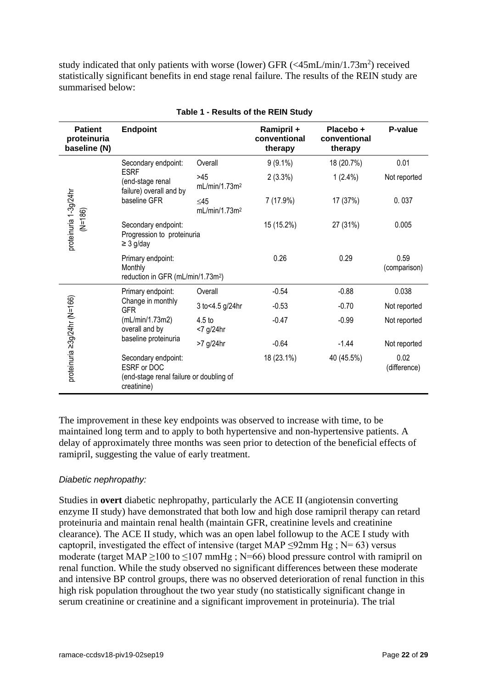study indicated that only patients with worse (lower) GFR  $\left( \langle 45mL/min/1.73m^2 \rangle \right)$  received statistically significant benefits in end stage renal failure. The results of the REIN study are summarised below:

| <b>Patient</b><br>proteinuria<br>baseline (N) | <b>Endpoint</b>                                                                              |                                       | Ramipril +<br>conventional<br>therapy | Placebo +<br>conventional<br>therapy | P-value              |
|-----------------------------------------------|----------------------------------------------------------------------------------------------|---------------------------------------|---------------------------------------|--------------------------------------|----------------------|
|                                               | Secondary endpoint:                                                                          | Overall                               | $9(9.1\%)$                            | 18 (20.7%)                           | 0.01                 |
|                                               | <b>ESRF</b><br>(end-stage renal<br>failure) overall and by<br>baseline GFR                   | >45<br>mL/min/1.73m <sup>2</sup>      | $2(3.3\%)$                            | $1(2.4\%)$                           | Not reported         |
|                                               |                                                                                              | $\leq45$<br>mL/min/1.73m <sup>2</sup> | 7 (17.9%)                             | 17 (37%)                             | 0.037                |
| proteinuria 1-3g/24hr<br>$(M=186)$            | Secondary endpoint:<br>Progression to proteinuria<br>$\geq$ 3 g/day                          |                                       | 15 (15.2%)                            | 27 (31%)                             | 0.005                |
|                                               | Primary endpoint:<br>Monthly<br>reduction in GFR (mL/min/1.73m <sup>2</sup> )                |                                       | 0.26                                  | 0.29                                 | 0.59<br>(comparison) |
| proteinuria ≥3g/24hr (N=166)                  | Primary endpoint:                                                                            | Overall                               | $-0.54$                               | $-0.88$                              | 0.038                |
|                                               | Change in monthly<br>GFR                                                                     | 3 to<4.5 g/24hr                       | $-0.53$                               | $-0.70$                              | Not reported         |
|                                               | (mL/min/1.73m2)<br>overall and by<br>baseline proteinuria                                    | 4.5 <sub>to</sub><br><7 g/24hr        | $-0.47$                               | $-0.99$                              | Not reported         |
|                                               |                                                                                              | >7 g/24hr                             | $-0.64$                               | $-1.44$                              | Not reported         |
|                                               | Secondary endpoint:<br>ESRF or DOC<br>(end-stage renal failure or doubling of<br>creatinine) |                                       | 18 (23.1%)                            | 40 (45.5%)                           | 0.02<br>(difference) |

#### **Table 1 - Results of the REIN Study**

The improvement in these key endpoints was observed to increase with time, to be maintained long term and to apply to both hypertensive and non-hypertensive patients. A delay of approximately three months was seen prior to detection of the beneficial effects of ramipril, suggesting the value of early treatment.

#### *Diabetic nephropathy:*

Studies in **overt** diabetic nephropathy, particularly the ACE II (angiotensin converting enzyme II study) have demonstrated that both low and high dose ramipril therapy can retard proteinuria and maintain renal health (maintain GFR, creatinine levels and creatinine clearance). The ACE II study, which was an open label followup to the ACE I study with captopril, investigated the effect of intensive (target MAP  $\leq$ 92mm Hg; N= 63) versus moderate (target MAP ≥100 to ≤107 mmHg ; N=66) blood pressure control with ramipril on renal function. While the study observed no significant differences between these moderate and intensive BP control groups, there was no observed deterioration of renal function in this high risk population throughout the two year study (no statistically significant change in serum creatinine or creatinine and a significant improvement in proteinuria). The trial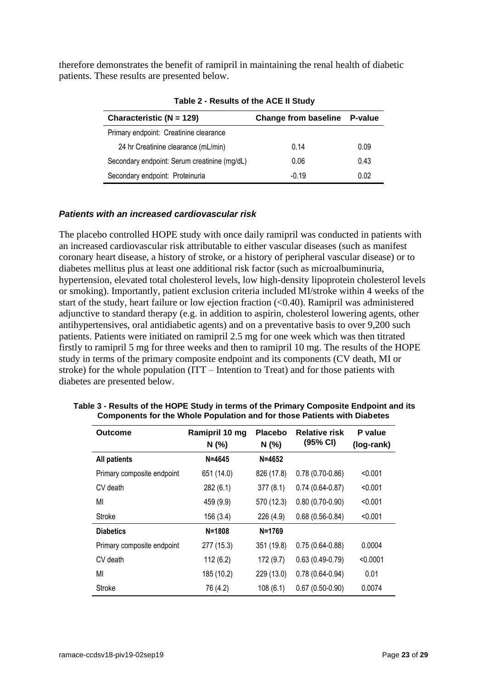therefore demonstrates the benefit of ramipril in maintaining the renal health of diabetic patients. These results are presented below.

| Characteristic ( $N = 129$ )                 | <b>Change from baseline</b> | P-value |
|----------------------------------------------|-----------------------------|---------|
| Primary endpoint: Creatinine clearance       |                             |         |
| 24 hr Creatinine clearance (mL/min)          | 0.14                        | 0.09    |
| Secondary endpoint: Serum creatinine (mg/dL) | 0.06                        | 0.43    |
| Secondary endpoint: Proteinuria              | $-0.19$                     | 0.02    |

|  | Table 2 - Results of the ACE II Study |  |  |  |
|--|---------------------------------------|--|--|--|
|  |                                       |  |  |  |

#### *Patients with an increased cardiovascular risk*

The placebo controlled HOPE study with once daily ramipril was conducted in patients with an increased cardiovascular risk attributable to either vascular diseases (such as manifest coronary heart disease, a history of stroke, or a history of peripheral vascular disease) or to diabetes mellitus plus at least one additional risk factor (such as microalbuminuria, hypertension, elevated total cholesterol levels, low high-density lipoprotein cholesterol levels or smoking). Importantly, patient exclusion criteria included MI/stroke within 4 weeks of the start of the study, heart failure or low ejection fraction (<0.40). Ramipril was administered adjunctive to standard therapy (e.g. in addition to aspirin, cholesterol lowering agents, other antihypertensives, oral antidiabetic agents) and on a preventative basis to over 9,200 such patients. Patients were initiated on ramipril 2.5 mg for one week which was then titrated firstly to ramipril 5 mg for three weeks and then to ramipril 10 mg. The results of the HOPE study in terms of the primary composite endpoint and its components (CV death, MI or stroke) for the whole population (ITT – Intention to Treat) and for those patients with diabetes are presented below.

| <b>Outcome</b>             | Ramipril 10 mg<br>N (%) | <b>Placebo</b><br>N(% | <b>Relative risk</b><br>(95% CI) | P value<br>(log-rank) |
|----------------------------|-------------------------|-----------------------|----------------------------------|-----------------------|
| <b>All patients</b>        | $N = 4645$              | $N = 4652$            |                                  |                       |
| Primary composite endpoint | 651 (14.0)              | 826 (17.8)            | $0.78(0.70-0.86)$                | < 0.001               |
| CV death                   | 282 (6.1)               | 377(8.1)              | $0.74(0.64-0.87)$                | < 0.001               |
| MI                         | 459 (9.9)               | 570 (12.3)            | $0.80(0.70-0.90)$                | < 0.001               |
| Stroke                     | 156 (3.4)               | 226 (4.9)             | $0.68(0.56-0.84)$                | < 0.001               |
| <b>Diabetics</b>           | $N = 1808$              | $N = 1769$            |                                  |                       |
| Primary composite endpoint | 277 (15.3)              | 351 (19.8)            | $0.75(0.64-0.88)$                | 0.0004                |
| CV death                   | 112(6.2)                | 172(9.7)              | $0.63(0.49-0.79)$                | < 0.0001              |
| MI                         | 185 (10.2)              | 229 (13.0)            | $0.78(0.64 - 0.94)$              | 0.01                  |
| <b>Stroke</b>              | 76 (4.2)                | 108(6.1)              | $0.67(0.50-0.90)$                | 0.0074                |

**Table 3 - Results of the HOPE Study in terms of the Primary Composite Endpoint and its Components for the Whole Population and for those Patients with Diabetes**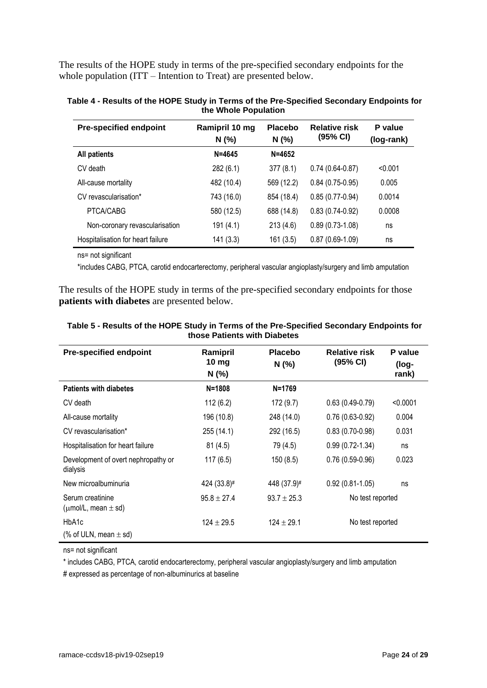The results of the HOPE study in terms of the pre-specified secondary endpoints for the whole population (ITT – Intention to Treat) are presented below.

| <b>Pre-specified endpoint</b>     | Ramipril 10 mg<br>N(%) | <b>Placebo</b><br>N(%) | <b>Relative risk</b><br>(95% CI) | P value<br>(log-rank) |
|-----------------------------------|------------------------|------------------------|----------------------------------|-----------------------|
| <b>All patients</b>               | $N = 4645$             | $N = 4652$             |                                  |                       |
| CV death                          | 282 (6.1)              | 377(8.1)               | $0.74(0.64-0.87)$                | < 0.001               |
| All-cause mortality               | 482 (10.4)             | 569 (12.2)             | $0.84(0.75-0.95)$                | 0.005                 |
| CV revascularisation*             | 743 (16.0)             | 854 (18.4)             | $0.85(0.77-0.94)$                | 0.0014                |
| PTCA/CABG                         | 580 (12.5)             | 688 (14.8)             | $0.83(0.74-0.92)$                | 0.0008                |
| Non-coronary revascularisation    | 191(4.1)               | 213(4.6)               | $0.89(0.73-1.08)$                | ns                    |
| Hospitalisation for heart failure | 141(3.3)               | 161 (3.5)              | $0.87(0.69-1.09)$                | ns                    |

| Table 4 - Results of the HOPE Study in Terms of the Pre-Specified Secondary Endpoints for |
|-------------------------------------------------------------------------------------------|
| the Whole Population                                                                      |

ns= not significant

\*includes CABG, PTCA, carotid endocarterectomy, peripheral vascular angioplasty/surgery and limb amputation

The results of the HOPE study in terms of the pre-specified secondary endpoints for those **patients with diabetes** are presented below.

| <b>Pre-specified endpoint</b>                     | Ramipril<br>10 $mg$<br>N(%) | <b>Placebo</b><br>N(% | <b>Relative risk</b><br>(95% CI) | P value<br>(log-<br>rank) |
|---------------------------------------------------|-----------------------------|-----------------------|----------------------------------|---------------------------|
| <b>Patients with diabetes</b>                     | $N = 1808$                  | $N = 1769$            |                                  |                           |
| CV death                                          | 112(6.2)                    | 172 (9.7)             | $0.63(0.49-0.79)$                | < 0.0001                  |
| All-cause mortality                               | 196 (10.8)                  | 248 (14.0)            | $0.76(0.63-0.92)$                | 0.004                     |
| CV revascularisation*                             | 255 (14.1)                  | 292 (16.5)            | $0.83(0.70-0.98)$                | 0.031                     |
| Hospitalisation for heart failure                 | 81(4.5)                     | 79 (4.5)              | $0.99(0.72 - 1.34)$              | ns                        |
| Development of overt nephropathy or<br>dialysis   | 117(6.5)                    | 150(8.5)              | $0.76(0.59-0.96)$                | 0.023                     |
| New microalbuminuria                              | 424 (33.8)#                 | 448 (37.9)#           | $0.92(0.81-1.05)$                | ns                        |
| Serum creatinine<br>( $\mu$ mol/L, mean $\pm$ sd) | $95.8 \pm 27.4$             | $93.7 \pm 25.3$       | No test reported                 |                           |
| HbA1c                                             | $124 \pm 29.5$              | $124 \pm 29.1$        | No test reported                 |                           |
| (% of ULN, mean $\pm$ sd)                         |                             |                       |                                  |                           |

#### **Table 5 - Results of the HOPE Study in Terms of the Pre-Specified Secondary Endpoints for those Patients with Diabetes**

ns= not significant

\* includes CABG, PTCA, carotid endocarterectomy, peripheral vascular angioplasty/surgery and limb amputation

# expressed as percentage of non-albuminurics at baseline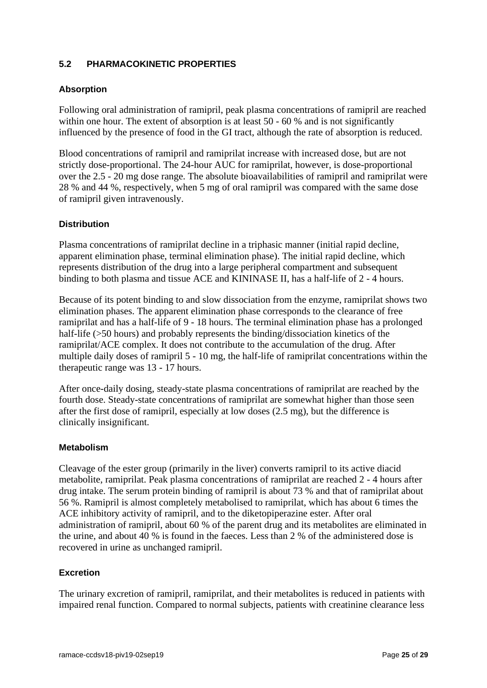## **5.2 PHARMACOKINETIC PROPERTIES**

### **Absorption**

Following oral administration of ramipril, peak plasma concentrations of ramipril are reached within one hour. The extent of absorption is at least 50 - 60 % and is not significantly influenced by the presence of food in the GI tract, although the rate of absorption is reduced.

Blood concentrations of ramipril and ramiprilat increase with increased dose, but are not strictly dose-proportional. The 24-hour AUC for ramiprilat, however, is dose-proportional over the 2.5 - 20 mg dose range. The absolute bioavailabilities of ramipril and ramiprilat were 28 % and 44 %, respectively, when 5 mg of oral ramipril was compared with the same dose of ramipril given intravenously.

## **Distribution**

Plasma concentrations of ramiprilat decline in a triphasic manner (initial rapid decline, apparent elimination phase, terminal elimination phase). The initial rapid decline, which represents distribution of the drug into a large peripheral compartment and subsequent binding to both plasma and tissue ACE and KININASE II, has a half-life of 2 - 4 hours.

Because of its potent binding to and slow dissociation from the enzyme, ramiprilat shows two elimination phases. The apparent elimination phase corresponds to the clearance of free ramiprilat and has a half-life of 9 - 18 hours. The terminal elimination phase has a prolonged half-life (>50 hours) and probably represents the binding/dissociation kinetics of the ramiprilat/ACE complex. It does not contribute to the accumulation of the drug. After multiple daily doses of ramipril 5 - 10 mg, the half-life of ramiprilat concentrations within the therapeutic range was 13 - 17 hours.

After once-daily dosing, steady-state plasma concentrations of ramiprilat are reached by the fourth dose. Steady-state concentrations of ramiprilat are somewhat higher than those seen after the first dose of ramipril, especially at low doses (2.5 mg), but the difference is clinically insignificant.

#### **Metabolism**

Cleavage of the ester group (primarily in the liver) converts ramipril to its active diacid metabolite, ramiprilat. Peak plasma concentrations of ramiprilat are reached 2 - 4 hours after drug intake. The serum protein binding of ramipril is about 73 % and that of ramiprilat about 56 %. Ramipril is almost completely metabolised to ramiprilat, which has about 6 times the ACE inhibitory activity of ramipril, and to the diketopiperazine ester. After oral administration of ramipril, about 60 % of the parent drug and its metabolites are eliminated in the urine, and about 40 % is found in the faeces. Less than 2 % of the administered dose is recovered in urine as unchanged ramipril.

#### **Excretion**

The urinary excretion of ramipril, ramiprilat, and their metabolites is reduced in patients with impaired renal function. Compared to normal subjects, patients with creatinine clearance less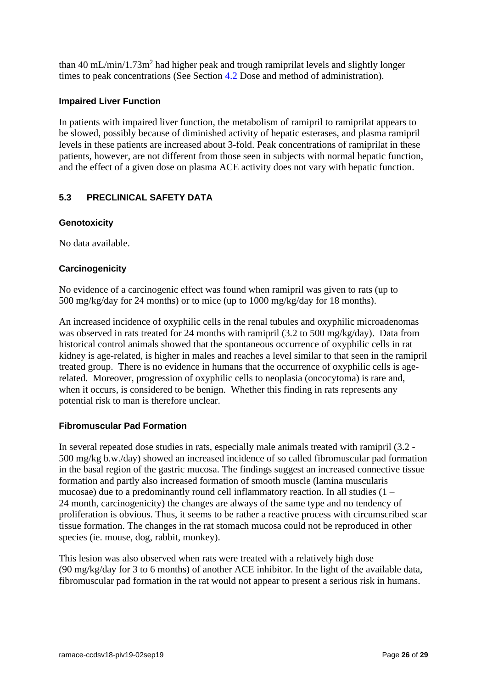than 40 mL/min/1.73 $m<sup>2</sup>$  had higher peak and trough ramiprilat levels and slightly longer times to peak concentrations (See Section [4.2](#page-1-0) Dose and method of administration).

#### **Impaired Liver Function**

In patients with impaired liver function, the metabolism of ramipril to ramiprilat appears to be slowed, possibly because of diminished activity of hepatic esterases, and plasma ramipril levels in these patients are increased about 3-fold. Peak concentrations of ramiprilat in these patients, however, are not different from those seen in subjects with normal hepatic function, and the effect of a given dose on plasma ACE activity does not vary with hepatic function.

## **5.3 PRECLINICAL SAFETY DATA**

## **Genotoxicity**

No data available.

## **Carcinogenicity**

No evidence of a carcinogenic effect was found when ramipril was given to rats (up to 500 mg/kg/day for 24 months) or to mice (up to 1000 mg/kg/day for 18 months).

An increased incidence of oxyphilic cells in the renal tubules and oxyphilic microadenomas was observed in rats treated for 24 months with ramipril (3.2 to 500 mg/kg/day). Data from historical control animals showed that the spontaneous occurrence of oxyphilic cells in rat kidney is age-related, is higher in males and reaches a level similar to that seen in the ramipril treated group. There is no evidence in humans that the occurrence of oxyphilic cells is agerelated. Moreover, progression of oxyphilic cells to neoplasia (oncocytoma) is rare and, when it occurs, is considered to be benign. Whether this finding in rats represents any potential risk to man is therefore unclear.

#### **Fibromuscular Pad Formation**

In several repeated dose studies in rats, especially male animals treated with ramipril (3.2 - 500 mg/kg b.w./day) showed an increased incidence of so called fibromuscular pad formation in the basal region of the gastric mucosa. The findings suggest an increased connective tissue formation and partly also increased formation of smooth muscle (lamina muscularis mucosae) due to a predominantly round cell inflammatory reaction. In all studies (1 – 24 month, carcinogenicity) the changes are always of the same type and no tendency of proliferation is obvious. Thus, it seems to be rather a reactive process with circumscribed scar tissue formation. The changes in the rat stomach mucosa could not be reproduced in other species (ie. mouse, dog, rabbit, monkey).

This lesion was also observed when rats were treated with a relatively high dose (90 mg/kg/day for 3 to 6 months) of another ACE inhibitor. In the light of the available data, fibromuscular pad formation in the rat would not appear to present a serious risk in humans.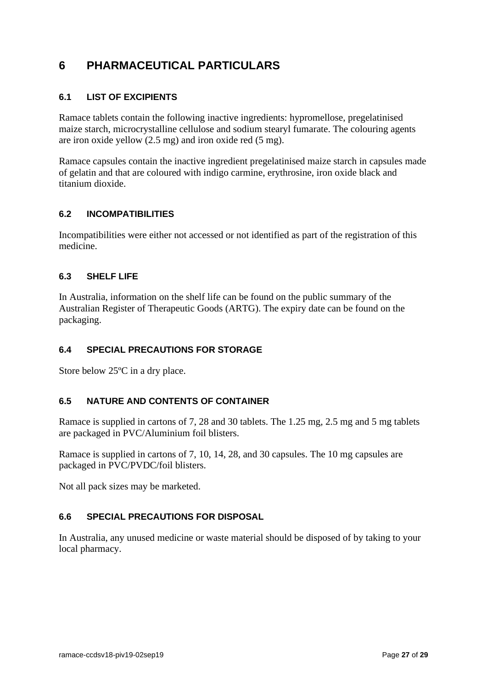# <span id="page-26-0"></span>**6 PHARMACEUTICAL PARTICULARS**

## **6.1 LIST OF EXCIPIENTS**

Ramace tablets contain the following inactive ingredients: hypromellose, pregelatinised maize starch, microcrystalline cellulose and sodium stearyl fumarate. The colouring agents are iron oxide yellow (2.5 mg) and iron oxide red (5 mg).

Ramace capsules contain the inactive ingredient pregelatinised maize starch in capsules made of gelatin and that are coloured with indigo carmine, erythrosine, iron oxide black and titanium dioxide.

## **6.2 INCOMPATIBILITIES**

Incompatibilities were either not accessed or not identified as part of the registration of this medicine.

#### **6.3 SHELF LIFE**

In Australia, information on the shelf life can be found on the public summary of the Australian Register of Therapeutic Goods (ARTG). The expiry date can be found on the packaging.

## **6.4 SPECIAL PRECAUTIONS FOR STORAGE**

Store below 25ºC in a dry place.

#### **6.5 NATURE AND CONTENTS OF CONTAINER**

Ramace is supplied in cartons of 7, 28 and 30 tablets. The 1.25 mg, 2.5 mg and 5 mg tablets are packaged in PVC/Aluminium foil blisters.

Ramace is supplied in cartons of 7, 10, 14, 28, and 30 capsules. The 10 mg capsules are packaged in PVC/PVDC/foil blisters.

Not all pack sizes may be marketed.

### **6.6 SPECIAL PRECAUTIONS FOR DISPOSAL**

In Australia, any unused medicine or waste material should be disposed of by taking to your local pharmacy.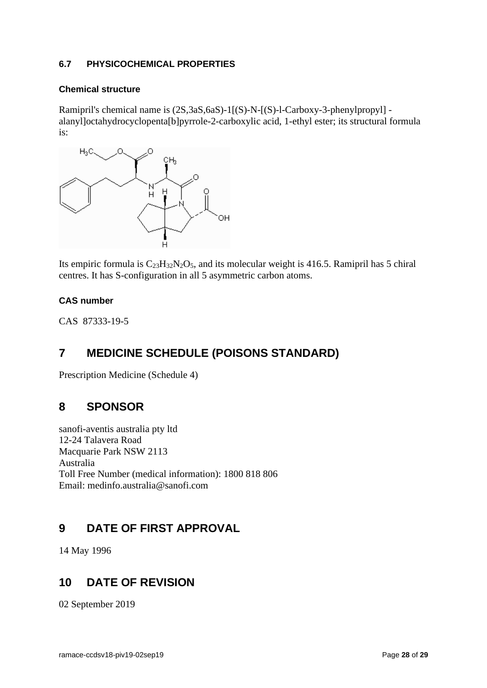### **6.7 PHYSICOCHEMICAL PROPERTIES**

#### **Chemical structure**

Ramipril's chemical name is (2S,3aS,6aS)-1[(S)-N-[(S)-l-Carboxy-3-phenylpropyl] alanyl]octahydrocyclopenta[b]pyrrole-2-carboxylic acid, 1-ethyl ester; its structural formula is:



Its empiric formula is  $C_{23}H_{32}N_2O_5$ , and its molecular weight is 416.5. Ramipril has 5 chiral centres. It has S-configuration in all 5 asymmetric carbon atoms.

## **CAS number**

CAS 87333-19-5

# **7 MEDICINE SCHEDULE (POISONS STANDARD)**

Prescription Medicine (Schedule 4)

## **8 SPONSOR**

sanofi-aventis australia pty ltd 12-24 Talavera Road Macquarie Park NSW 2113 Australia Toll Free Number (medical information): 1800 818 806 Email: medinfo.australia@sanofi.com

## **9 DATE OF FIRST APPROVAL**

14 May 1996

## **10 DATE OF REVISION**

02 September 2019